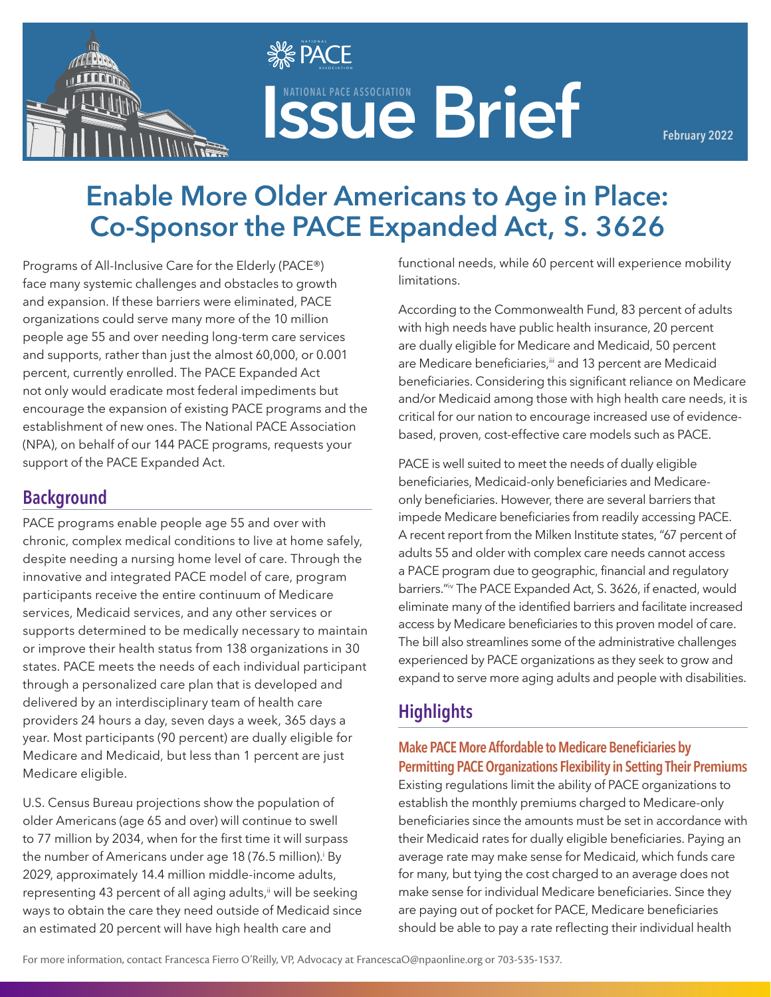

# **ISSUE Brief ASSOCIATION**

**February 2022**

## **Enable More Older Americans to Age in Place: Co-Sponsor the PACE Expanded Act, S. 3626**

**SE PACE**  $\mathbf{v}$   $\mathbf{v}$   $\mathbf{v}$  association

Programs of All-Inclusive Care for the Elderly (PACE®) face many systemic challenges and obstacles to growth and expansion. If these barriers were eliminated, PACE organizations could serve many more of the 10 million people age 55 and over needing long-term care services and supports, rather than just the almost 60,000, or 0.001 percent, currently enrolled. The PACE Expanded Act not only would eradicate most federal impediments but encourage the expansion of existing PACE programs and the establishment of new ones. The National PACE Association (NPA), on behalf of our 144 PACE programs, requests your support of the PACE Expanded Act.

## **Background**

PACE programs enable people age 55 and over with chronic, complex medical conditions to live at home safely, despite needing a nursing home level of care. Through the innovative and integrated PACE model of care, program participants receive the entire continuum of Medicare services, Medicaid services, and any other services or supports determined to be medically necessary to maintain or improve their health status from 138 organizations in 30 states. PACE meets the needs of each individual participant through a personalized care plan that is developed and delivered by an interdisciplinary team of health care providers 24 hours a day, seven days a week, 365 days a year. Most participants (90 percent) are dually eligible for Medicare and Medicaid, but less than 1 percent are just Medicare eligible.

U.S. Census Bureau projections show the population of older Americans (age 65 and over) will continue to swell to 77 million by 2034, when for the first time it will surpass the number of Americans under age 18 (76.5 million).<sup>i</sup> By 2029, approximately 14.4 million middle-income adults, representing 43 percent of all aging adults,<sup>ii</sup> will be seeking ways to obtain the care they need outside of Medicaid since an estimated 20 percent will have high health care and

functional needs, while 60 percent will experience mobility limitations.

According to the Commonwealth Fund, 83 percent of adults with high needs have public health insurance, 20 percent are dually eligible for Medicare and Medicaid, 50 percent are Medicare beneficiaries,<sup>iii</sup> and 13 percent are Medicaid beneficiaries. Considering this significant reliance on Medicare and/or Medicaid among those with high health care needs, it is critical for our nation to encourage increased use of evidencebased, proven, cost-effective care models such as PACE.

PACE is well suited to meet the needs of dually eligible beneficiaries, Medicaid-only beneficiaries and Medicareonly beneficiaries. However, there are several barriers that impede Medicare beneficiaries from readily accessing PACE. A recent report from the Milken Institute states, "67 percent of adults 55 and older with complex care needs cannot access a PACE program due to geographic, financial and regulatory barriers."iv The PACE Expanded Act, S. 3626, if enacted, would eliminate many of the identified barriers and facilitate increased access by Medicare beneficiaries to this proven model of care. The bill also streamlines some of the administrative challenges experienced by PACE organizations as they seek to grow and expand to serve more aging adults and people with disabilities.

## **Highlights**

## **Make PACE More Affordable to Medicare Beneficiaries by Permitting PACE Organizations Flexibility in Setting Their Premiums**

Existing regulations limit the ability of PACE organizations to establish the monthly premiums charged to Medicare-only beneficiaries since the amounts must be set in accordance with their Medicaid rates for dually eligible beneficiaries. Paying an average rate may make sense for Medicaid, which funds care for many, but tying the cost charged to an average does not make sense for individual Medicare beneficiaries. Since they are paying out of pocket for PACE, Medicare beneficiaries should be able to pay a rate reflecting their individual health